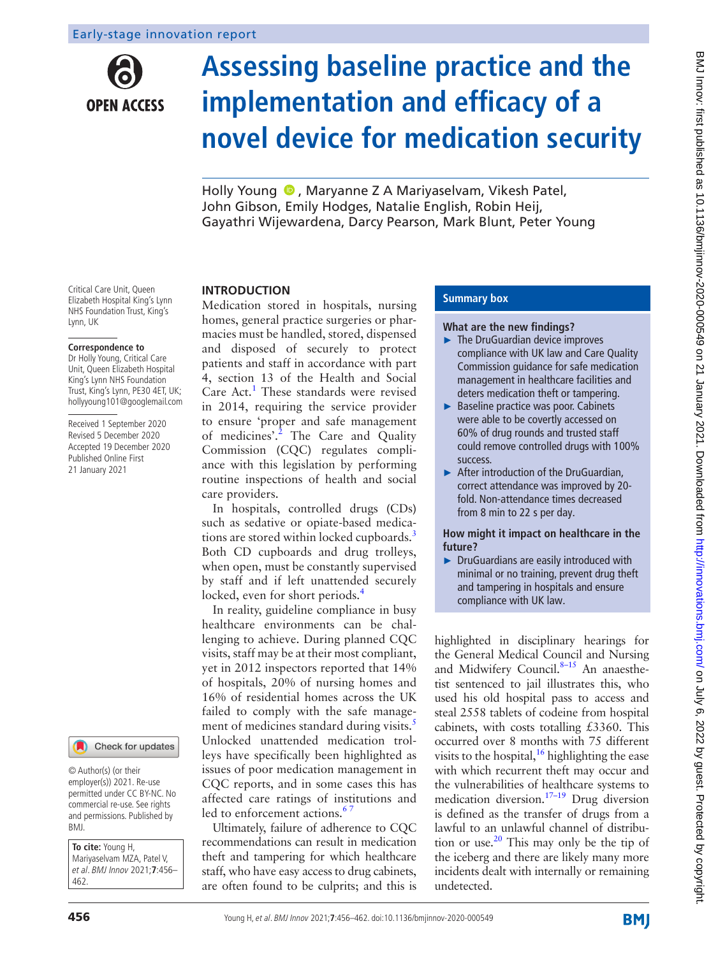**OPEN ACCESS** 

# **Assessing baseline practice and the implementation and efficacy of a novel device for medication security**

HollyYoung  $\bullet$ , Marvanne Z A Marivaselvam, Vikesh Patel, John Gibson, Emily Hodges, Natalie English, Robin Heij, Gayathri Wijewardena, Darcy Pearson, Mark Blunt, Peter Young

Critical Care Unit, Queen Elizabeth Hospital King's Lynn NHS Foundation Trust, King's Lynn, UK

#### **Correspondence to**

Dr Holly Young, Critical Care Unit, Queen Elizabeth Hospital King's Lynn NHS Foundation Trust, King's Lynn, PE30 4ET, UK; hollyyoung101@googlemail.com

Received 1 September 2020 Revised 5 December 2020 Accepted 19 December 2020 Published Online First 21 January 2021



© Author(s) (or their employer(s)) 2021. Re-use permitted under CC BY-NC. No commercial re-use. See rights and permissions. Published by BMJ.

**To cite:** Young H, Mariyaselvam MZA, Patel V, et al. BMJ Innov 2021;**7**:456– 462.

#### **INTRODUCTION**

Medication stored in hospitals, nursing homes, general practice surgeries or pharmacies must be handled, stored, dispensed and disposed of securely to protect patients and staff in accordance with part 4, section 13 of the Health and Social Care Act.<sup>1</sup> These standards were revised in 2014, requiring the service provider to ensure 'proper and safe management of medicines'.<sup>[2](#page-5-1)</sup> The Care and Quality Commission (CQC) regulates compliance with this legislation by performing routine inspections of health and social care providers.

In hospitals, controlled drugs (CDs) such as sedative or opiate-based medica-tions are stored within locked cupboards.<sup>[3](#page-5-2)</sup> Both CD cupboards and drug trolleys, when open, must be constantly supervised by staff and if left unattended securely locked, even for short periods.<sup>[4](#page-5-3)</sup>

In reality, guideline compliance in busy healthcare environments can be challenging to achieve. During planned CQC visits, staff may be at their most compliant, yet in 2012 inspectors reported that 14% of hospitals, 20% of nursing homes and 16% of residential homes across the UK failed to comply with the safe management of medicines standard during visits.<sup>5</sup> Unlocked unattended medication trolleys have specifically been highlighted as issues of poor medication management in CQC reports, and in some cases this has affected care ratings of institutions and led to enforcement actions.<sup>67</sup>

Ultimately, failure of adherence to CQC recommendations can result in medication theft and tampering for which healthcare staff, who have easy access to drug cabinets, are often found to be culprits; and this is

### **Summary box**

#### **What are the new findings?**

- ► The DruGuardian device improves compliance with UK law and Care Quality Commission guidance for safe medication management in healthcare facilities and deters medication theft or tampering.
- ► Baseline practice was poor. Cabinets were able to be covertly accessed on 60% of drug rounds and trusted staff could remove controlled drugs with 100% success.
- ► After introduction of the DruGuardian, correct attendance was improved by 20 fold. Non-attendance times decreased from 8 min to 22 s per day.

**How might it impact on healthcare in the future?**

► DruGuardians are easily introduced with minimal or no training, prevent drug theft and tampering in hospitals and ensure compliance with UK law.

highlighted in disciplinary hearings for the General Medical Council and Nursing and Midwifery Council.<sup>8-15</sup> An anaesthetist sentenced to jail illustrates this, who used his old hospital pass to access and steal 2558 tablets of codeine from hospital cabinets, with costs totalling £3360. This occurred over 8 months with 75 different visits to the hospital,  $^{16}$  highlighting the ease with which recurrent theft may occur and the vulnerabilities of healthcare systems to medication diversion[.17–19](#page-5-8) Drug diversion is defined as the transfer of drugs from a lawful to an unlawful channel of distribution or use. $20$  This may only be the tip of the iceberg and there are likely many more incidents dealt with internally or remaining undetected.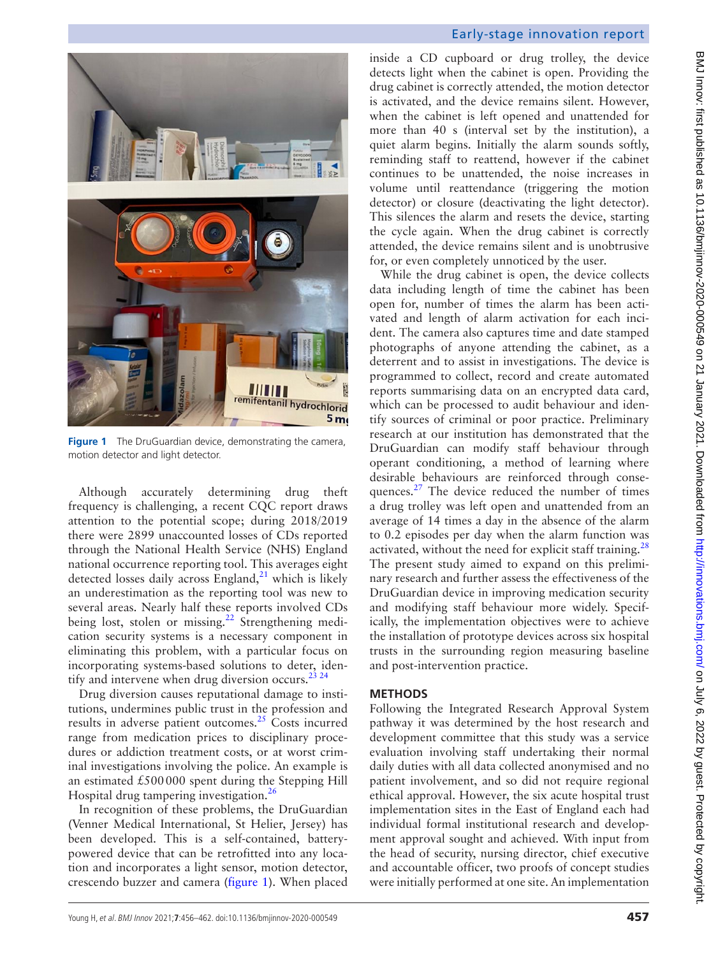

**Figure 1** The DruGuardian device, demonstrating the camera, motion detector and light detector.

<span id="page-1-0"></span>Although accurately determining drug theft frequency is challenging, a recent CQC report draws attention to the potential scope; during 2018/2019 there were 2899 unaccounted losses of CDs reported through the National Health Service (NHS) England national occurrence reporting tool. This averages eight detected losses daily across England, $^{21}$  which is likely an underestimation as the reporting tool was new to several areas. Nearly half these reports involved CDs being lost, stolen or missing.<sup>22</sup> Strengthening medication security systems is a necessary component in eliminating this problem, with a particular focus on incorporating systems-based solutions to deter, iden-tify and intervene when drug diversion occurs.<sup>[23 24](#page-5-12)</sup>

Drug diversion causes reputational damage to institutions, undermines public trust in the profession and results in adverse patient outcomes. $25$  Costs incurred range from medication prices to disciplinary procedures or addiction treatment costs, or at worst criminal investigations involving the police. An example is an estimated  $£500000$  spent during the Stepping Hill Hospital drug tampering investigation.<sup>[26](#page-5-14)</sup>

In recognition of these problems, the DruGuardian (Venner Medical International, St Helier, Jersey) has been developed. This is a self-contained, batterypowered device that can be retrofitted into any location and incorporates a light sensor, motion detector, crescendo buzzer and camera [\(figure](#page-1-0) 1). When placed

## Early-stage innovation report

inside a CD cupboard or drug trolley, the device detects light when the cabinet is open. Providing the drug cabinet is correctly attended, the motion detector is activated, and the device remains silent. However, when the cabinet is left opened and unattended for more than 40 s (interval set by the institution), a quiet alarm begins. Initially the alarm sounds softly, reminding staff to reattend, however if the cabinet continues to be unattended, the noise increases in volume until reattendance (triggering the motion detector) or closure (deactivating the light detector). This silences the alarm and resets the device, starting the cycle again. When the drug cabinet is correctly attended, the device remains silent and is unobtrusive for, or even completely unnoticed by the user.

While the drug cabinet is open, the device collects data including length of time the cabinet has been open for, number of times the alarm has been activated and length of alarm activation for each incident. The camera also captures time and date stamped photographs of anyone attending the cabinet, as a deterrent and to assist in investigations. The device is programmed to collect, record and create automated reports summarising data on an encrypted data card, which can be processed to audit behaviour and identify sources of criminal or poor practice. Preliminary research at our institution has demonstrated that the DruGuardian can modify staff behaviour through operant conditioning, a method of learning where desirable behaviours are reinforced through consequences.<sup>27</sup> The device reduced the number of times a drug trolley was left open and unattended from an average of 14 times a day in the absence of the alarm to 0.2 episodes per day when the alarm function was activated, without the need for explicit staff training.<sup>28</sup> The present study aimed to expand on this preliminary research and further assess the effectiveness of the DruGuardian device in improving medication security and modifying staff behaviour more widely. Specifically, the implementation objectives were to achieve the installation of prototype devices across six hospital trusts in the surrounding region measuring baseline and post-intervention practice.

#### **METHODS**

Following the Integrated Research Approval System pathway it was determined by the host research and development committee that this study was a service evaluation involving staff undertaking their normal daily duties with all data collected anonymised and no patient involvement, and so did not require regional ethical approval. However, the six acute hospital trust implementation sites in the East of England each had individual formal institutional research and development approval sought and achieved. With input from the head of security, nursing director, chief executive and accountable officer, two proofs of concept studies were initially performed at one site. An implementation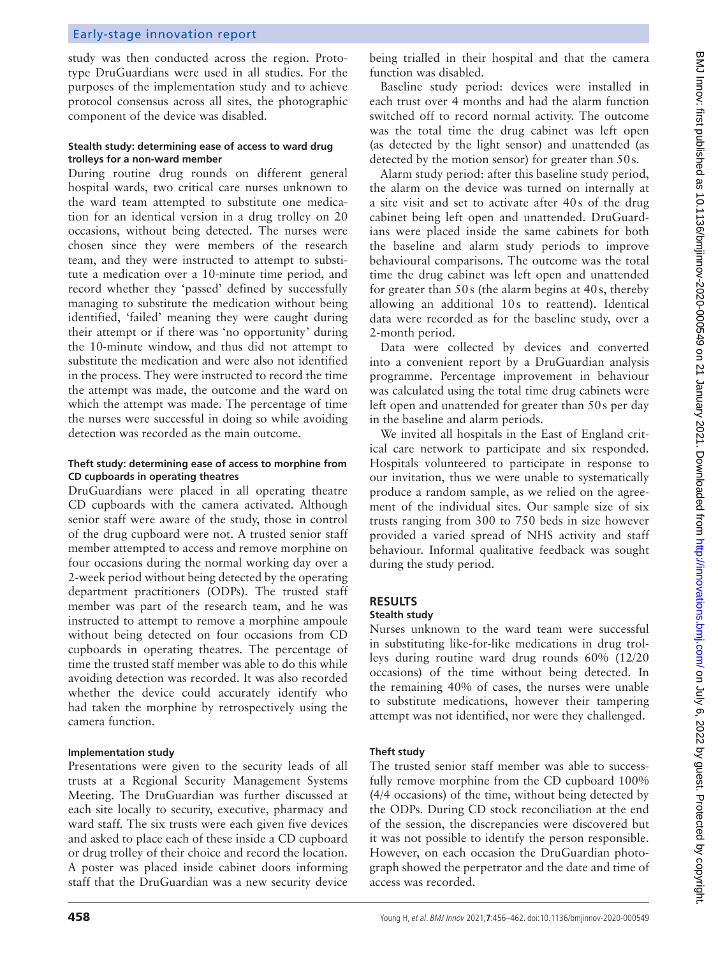## Early-stage innovation report

study was then conducted across the region. Prototype DruGuardians were used in all studies. For the purposes of the implementation study and to achieve protocol consensus across all sites, the photographic component of the device was disabled.

#### **Stealth study: determining ease of access to ward drug trolleys for a non-ward member**

During routine drug rounds on different general hospital wards, two critical care nurses unknown to the ward team attempted to substitute one medication for an identical version in a drug trolley on 20 occasions, without being detected. The nurses were chosen since they were members of the research team, and they were instructed to attempt to substitute a medication over a 10-minute time period, and record whether they 'passed' defined by successfully managing to substitute the medication without being identified, 'failed' meaning they were caught during their attempt or if there was 'no opportunity' during the 10-minute window, and thus did not attempt to substitute the medication and were also not identified in the process. They were instructed to record the time the attempt was made, the outcome and the ward on which the attempt was made. The percentage of time the nurses were successful in doing so while avoiding detection was recorded as the main outcome.

#### **Theft study: determining ease of access to morphine from CD cupboards in operating theatres**

DruGuardians were placed in all operating theatre CD cupboards with the camera activated. Although senior staff were aware of the study, those in control of the drug cupboard were not. A trusted senior staff member attempted to access and remove morphine on four occasions during the normal working day over a 2-week period without being detected by the operating department practitioners (ODPs). The trusted staff member was part of the research team, and he was instructed to attempt to remove a morphine ampoule without being detected on four occasions from CD cupboards in operating theatres. The percentage of time the trusted staff member was able to do this while avoiding detection was recorded. It was also recorded whether the device could accurately identify who had taken the morphine by retrospectively using the camera function.

#### **Implementation study**

Presentations were given to the security leads of all trusts at a Regional Security Management Systems Meeting. The DruGuardian was further discussed at each site locally to security, executive, pharmacy and ward staff. The six trusts were each given five devices and asked to place each of these inside a CD cupboard or drug trolley of their choice and record the location. A poster was placed inside cabinet doors informing staff that the DruGuardian was a new security device

being trialled in their hospital and that the camera function was disabled.

Baseline study period: devices were installed in each trust over 4 months and had the alarm function switched off to record normal activity. The outcome was the total time the drug cabinet was left open (as detected by the light sensor) and unattended (as detected by the motion sensor) for greater than 50s.

Alarm study period: after this baseline study period, the alarm on the device was turned on internally at a site visit and set to activate after 40s of the drug cabinet being left open and unattended. DruGuardians were placed inside the same cabinets for both the baseline and alarm study periods to improve behavioural comparisons. The outcome was the total time the drug cabinet was left open and unattended for greater than 50s (the alarm begins at 40s, thereby allowing an additional 10s to reattend). Identical data were recorded as for the baseline study, over a 2-month period.

Data were collected by devices and converted into a convenient report by a DruGuardian analysis programme. Percentage improvement in behaviour was calculated using the total time drug cabinets were left open and unattended for greater than 50s per day in the baseline and alarm periods.

We invited all hospitals in the East of England critical care network to participate and six responded. Hospitals volunteered to participate in response to our invitation, thus we were unable to systematically produce a random sample, as we relied on the agreement of the individual sites. Our sample size of six trusts ranging from 300 to 750 beds in size however provided a varied spread of NHS activity and staff behaviour. Informal qualitative feedback was sought during the study period.

## **RESULTS**

## **Stealth study**

Nurses unknown to the ward team were successful in substituting like-for-like medications in drug trolleys during routine ward drug rounds 60% (12/20 occasions) of the time without being detected. In the remaining 40% of cases, the nurses were unable to substitute medications, however their tampering attempt was not identified, nor were they challenged.

#### **Theft study**

The trusted senior staff member was able to successfully remove morphine from the CD cupboard 100% (4/4 occasions) of the time, without being detected by the ODPs. During CD stock reconciliation at the end of the session, the discrepancies were discovered but it was not possible to identify the person responsible. However, on each occasion the DruGuardian photograph showed the perpetrator and the date and time of access was recorded.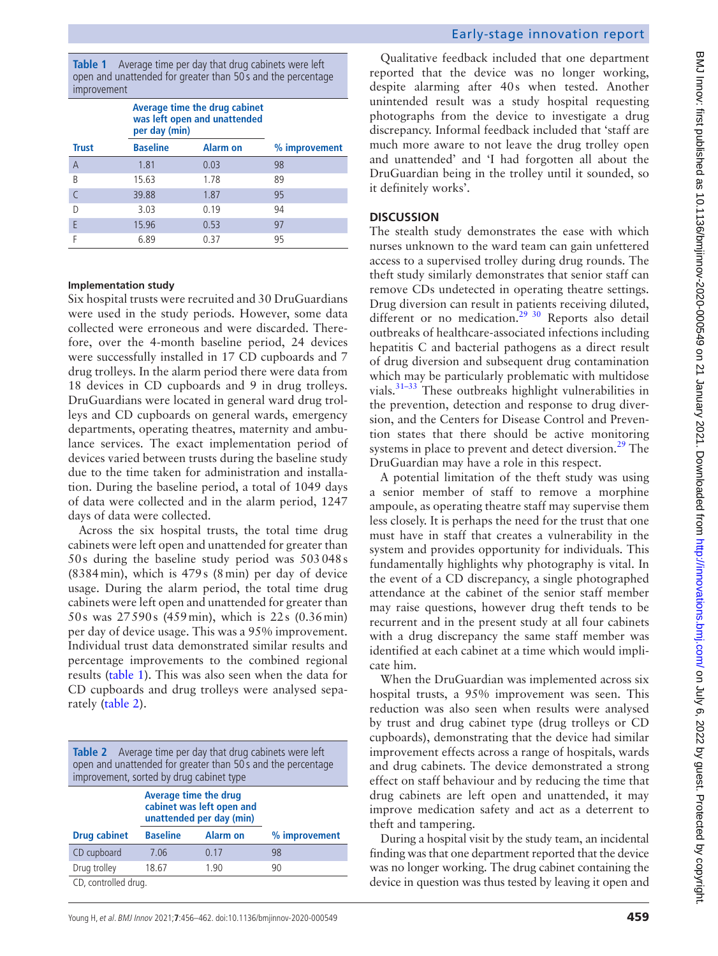<span id="page-3-0"></span>**Table 1** Average time per day that drug cabinets were left open and unattended for greater than 50 s and the percentage improvement

|              | Average time the drug cabinet<br>was left open and unattended<br>per day (min) |                 |               |
|--------------|--------------------------------------------------------------------------------|-----------------|---------------|
| <b>Trust</b> | <b>Baseline</b>                                                                | <b>Alarm on</b> | % improvement |
| A            | 1.81                                                                           | 0.03            | 98            |
| B            | 15.63                                                                          | 1.78            | 89            |
|              | 39.88                                                                          | 1.87            | 95            |
| D            | 3.03                                                                           | 0.19            | 94            |
| E            | 15.96                                                                          | 0.53            | 97            |
|              | 6.89                                                                           | 0.37            | 95            |

#### **Implementation study**

Six hospital trusts were recruited and 30 DruGuardians were used in the study periods. However, some data collected were erroneous and were discarded. Therefore, over the 4-month baseline period, 24 devices were successfully installed in 17 CD cupboards and 7 drug trolleys. In the alarm period there were data from 18 devices in CD cupboards and 9 in drug trolleys. DruGuardians were located in general ward drug trolleys and CD cupboards on general wards, emergency departments, operating theatres, maternity and ambulance services. The exact implementation period of devices varied between trusts during the baseline study due to the time taken for administration and installation. During the baseline period, a total of 1049 days of data were collected and in the alarm period, 1247 days of data were collected.

Across the six hospital trusts, the total time drug cabinets were left open and unattended for greater than 50s during the baseline study period was 503048s (8384min), which is 479s (8min) per day of device usage. During the alarm period, the total time drug cabinets were left open and unattended for greater than 50s was 27590s (459min), which is 22s (0.36min) per day of device usage. This was a 95% improvement. Individual trust data demonstrated similar results and percentage improvements to the combined regional results [\(table](#page-3-0) 1). This was also seen when the data for CD cupboards and drug trolleys were analysed separately ([table](#page-3-1) 2).

<span id="page-3-1"></span>

| <b>Table 2</b> Average time per day that drug cabinets were left<br>open and unattended for greater than 50s and the percentage<br>improvement, sorted by drug cabinet type |                                                                                |                 |               |  |  |
|-----------------------------------------------------------------------------------------------------------------------------------------------------------------------------|--------------------------------------------------------------------------------|-----------------|---------------|--|--|
|                                                                                                                                                                             | Average time the drug<br>cabinet was left open and<br>unattended per day (min) |                 |               |  |  |
| <b>Drug cabinet</b>                                                                                                                                                         | <b>Baseline</b>                                                                | <b>Alarm on</b> | % improvement |  |  |
| CD cupboard                                                                                                                                                                 | 7.06                                                                           | 0.17            | 98            |  |  |
| Drug trolley                                                                                                                                                                | 18.67                                                                          | 1.90            | 90            |  |  |
| CD controlled drug                                                                                                                                                          |                                                                                |                 |               |  |  |

CD, controlled drug.

Qualitative feedback included that one department reported that the device was no longer working, despite alarming after 40s when tested. Another unintended result was a study hospital requesting photographs from the device to investigate a drug discrepancy. Informal feedback included that 'staff are much more aware to not leave the drug trolley open and unattended' and 'I had forgotten all about the DruGuardian being in the trolley until it sounded, so it definitely works'.

#### **DISCUSSION**

The stealth study demonstrates the ease with which nurses unknown to the ward team can gain unfettered access to a supervised trolley during drug rounds. The theft study similarly demonstrates that senior staff can remove CDs undetected in operating theatre settings. Drug diversion can result in patients receiving diluted, different or no medication.<sup>29 30</sup> Reports also detail outbreaks of healthcare-associated infections including hepatitis C and bacterial pathogens as a direct result of drug diversion and subsequent drug contamination which may be particularly problematic with multidose vials[.31–33](#page-6-1) These outbreaks highlight vulnerabilities in the prevention, detection and response to drug diversion, and the Centers for Disease Control and Prevention states that there should be active monitoring systems in place to prevent and detect diversion. $^{29}$  The DruGuardian may have a role in this respect.

A potential limitation of the theft study was using a senior member of staff to remove a morphine ampoule, as operating theatre staff may supervise them less closely. It is perhaps the need for the trust that one must have in staff that creates a vulnerability in the system and provides opportunity for individuals. This fundamentally highlights why photography is vital. In the event of a CD discrepancy, a single photographed attendance at the cabinet of the senior staff member may raise questions, however drug theft tends to be recurrent and in the present study at all four cabinets with a drug discrepancy the same staff member was identified at each cabinet at a time which would implicate him.

When the DruGuardian was implemented across six hospital trusts, a 95% improvement was seen. This reduction was also seen when results were analysed by trust and drug cabinet type (drug trolleys or CD cupboards), demonstrating that the device had similar improvement effects across a range of hospitals, wards and drug cabinets. The device demonstrated a strong effect on staff behaviour and by reducing the time that drug cabinets are left open and unattended, it may improve medication safety and act as a deterrent to theft and tampering.

During a hospital visit by the study team, an incidental finding was that one department reported that the device was no longer working. The drug cabinet containing the device in question was thus tested by leaving it open and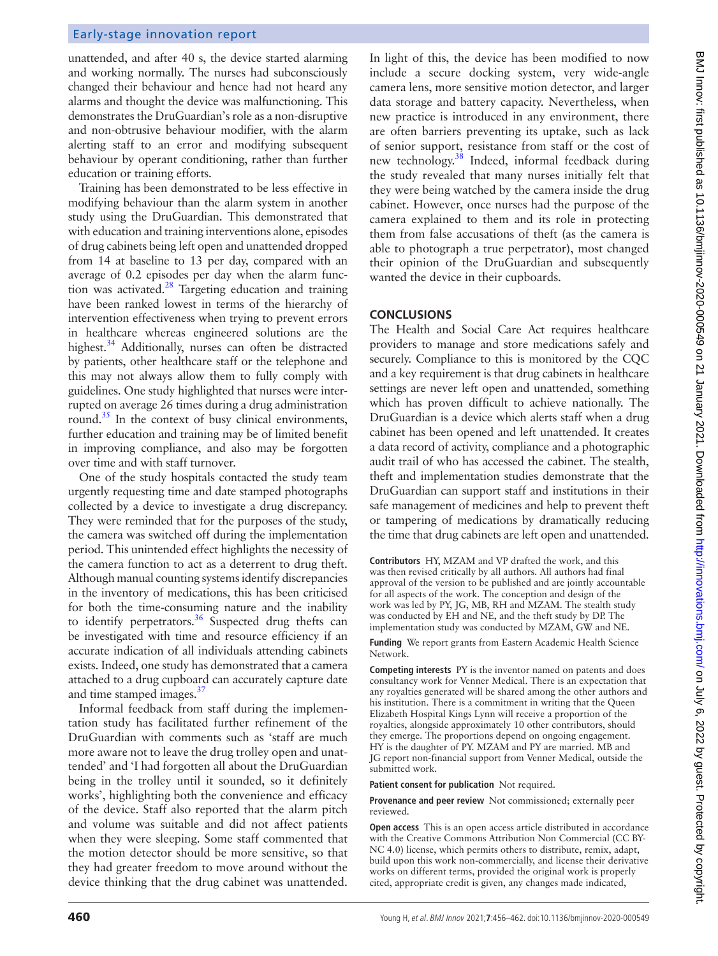## Early-stage innovation report

unattended, and after 40 s, the device started alarming and working normally. The nurses had subconsciously changed their behaviour and hence had not heard any alarms and thought the device was malfunctioning. This demonstrates the DruGuardian's role as a non-disruptive and non-obtrusive behaviour modifier, with the alarm alerting staff to an error and modifying subsequent behaviour by operant conditioning, rather than further education or training efforts.

Training has been demonstrated to be less effective in modifying behaviour than the alarm system in another study using the DruGuardian. This demonstrated that with education and training interventions alone, episodes of drug cabinets being left open and unattended dropped from 14 at baseline to 13 per day, compared with an average of 0.2 episodes per day when the alarm function was activated. $^{28}$  $^{28}$  $^{28}$  Targeting education and training have been ranked lowest in terms of the hierarchy of intervention effectiveness when trying to prevent errors in healthcare whereas engineered solutions are the highest.<sup>34</sup> Additionally, nurses can often be distracted by patients, other healthcare staff or the telephone and this may not always allow them to fully comply with guidelines. One study highlighted that nurses were interrupted on average 26 times during a drug administration round. $35$  In the context of busy clinical environments, further education and training may be of limited benefit in improving compliance, and also may be forgotten over time and with staff turnover.

One of the study hospitals contacted the study team urgently requesting time and date stamped photographs collected by a device to investigate a drug discrepancy. They were reminded that for the purposes of the study, the camera was switched off during the implementation period. This unintended effect highlights the necessity of the camera function to act as a deterrent to drug theft. Although manual counting systems identify discrepancies in the inventory of medications, this has been criticised for both the time-consuming nature and the inability to identify perpetrators. $36$  Suspected drug thefts can be investigated with time and resource efficiency if an accurate indication of all individuals attending cabinets exists. Indeed, one study has demonstrated that a camera attached to a drug cupboard can accurately capture date and time stamped images.<sup>37</sup>

Informal feedback from staff during the implementation study has facilitated further refinement of the DruGuardian with comments such as 'staff are much more aware not to leave the drug trolley open and unattended' and 'I had forgotten all about the DruGuardian being in the trolley until it sounded, so it definitely works', highlighting both the convenience and efficacy of the device. Staff also reported that the alarm pitch and volume was suitable and did not affect patients when they were sleeping. Some staff commented that the motion detector should be more sensitive, so that they had greater freedom to move around without the device thinking that the drug cabinet was unattended.

In light of this, the device has been modified to now include a secure docking system, very wide-angle camera lens, more sensitive motion detector, and larger data storage and battery capacity. Nevertheless, when new practice is introduced in any environment, there are often barriers preventing its uptake, such as lack of senior support, resistance from staff or the cost of new technology.<sup>38</sup> Indeed, informal feedback during the study revealed that many nurses initially felt that they were being watched by the camera inside the drug cabinet. However, once nurses had the purpose of the camera explained to them and its role in protecting them from false accusations of theft (as the camera is able to photograph a true perpetrator), most changed their opinion of the DruGuardian and subsequently wanted the device in their cupboards.

## **CONCLUSIONS**

The Health and Social Care Act requires healthcare providers to manage and store medications safely and securely. Compliance to this is monitored by the CQC and a key requirement is that drug cabinets in healthcare settings are never left open and unattended, something which has proven difficult to achieve nationally. The DruGuardian is a device which alerts staff when a drug cabinet has been opened and left unattended. It creates a data record of activity, compliance and a photographic audit trail of who has accessed the cabinet. The stealth, theft and implementation studies demonstrate that the DruGuardian can support staff and institutions in their safe management of medicines and help to prevent theft or tampering of medications by dramatically reducing the time that drug cabinets are left open and unattended.

**Contributors** HY, MZAM and VP drafted the work, and this was then revised critically by all authors. All authors had final approval of the version to be published and are jointly accountable for all aspects of the work. The conception and design of the work was led by PY, JG, MB, RH and MZAM. The stealth study was conducted by EH and NE, and the theft study by DP. The implementation study was conducted by MZAM, GW and NE.

**Funding** We report grants from Eastern Academic Health Science Network.

**Competing interests** PY is the inventor named on patents and does consultancy work for Venner Medical. There is an expectation that any royalties generated will be shared among the other authors and his institution. There is a commitment in writing that the Queen Elizabeth Hospital Kings Lynn will receive a proportion of the royalties, alongside approximately 10 other contributors, should they emerge. The proportions depend on ongoing engagement. HY is the daughter of PY. MZAM and PY are married. MB and JG report non-financial support from Venner Medical, outside the submitted work.

**Patient consent for publication** Not required.

**Provenance and peer review** Not commissioned; externally peer reviewed.

**Open access** This is an open access article distributed in accordance with the Creative Commons Attribution Non Commercial (CC BY-NC 4.0) license, which permits others to distribute, remix, adapt, build upon this work non-commercially, and license their derivative works on different terms, provided the original work is properly cited, appropriate credit is given, any changes made indicated,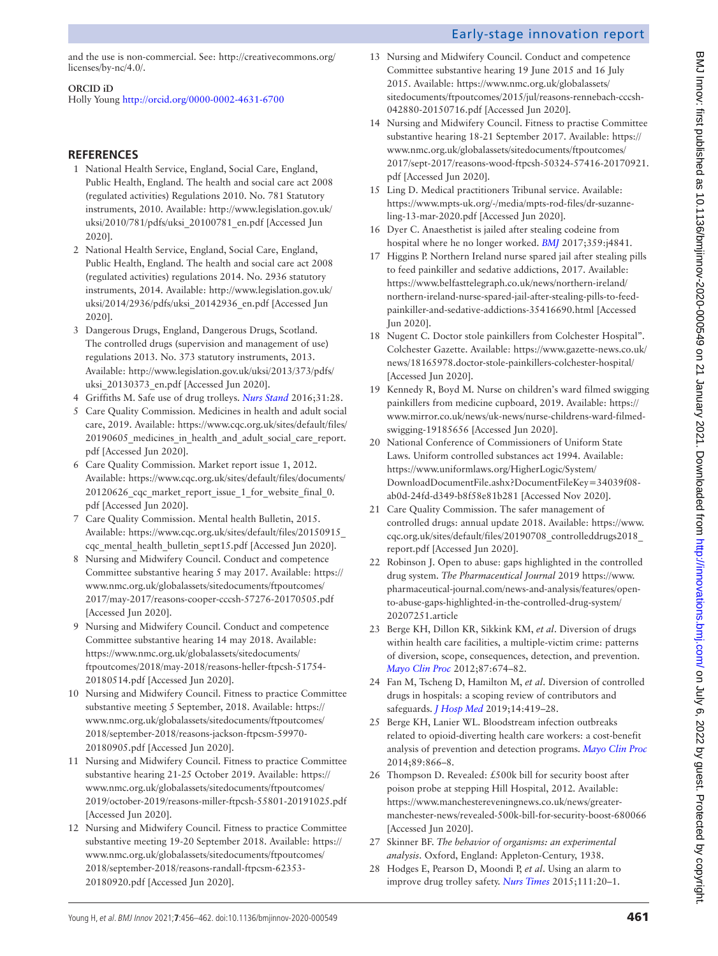and the use is non-commercial. See: [http://creativecommons.org/](http://creativecommons.org/licenses/by-nc/4.0/) [licenses/by-nc/4.0/.](http://creativecommons.org/licenses/by-nc/4.0/)

#### **ORCID iD**

Holly Young <http://orcid.org/0000-0002-4631-6700>

## **REFERENCES**

- <span id="page-5-0"></span>1 National Health Service, England, Social Care, England, Public Health, England. The health and social care act 2008 (regulated activities) Regulations 2010. No. 781 Statutory instruments, 2010. Available: [http://www.legislation.gov.uk/](http://www.legislation.gov.uk/uksi/2010/781/pdfs/uksi_20100781_en.pdf) [uksi/2010/781/pdfs/uksi\\_20100781\\_en.pdf](http://www.legislation.gov.uk/uksi/2010/781/pdfs/uksi_20100781_en.pdf) [Accessed Jun 2020].
- <span id="page-5-1"></span>2 National Health Service, England, Social Care, England, Public Health, England. The health and social care act 2008 (regulated activities) regulations 2014. No. 2936 statutory instruments, 2014. Available: [http://www.legislation.gov.uk/](http://www.legislation.gov.uk/uksi/2014/2936/pdfs/uksi_20142936_en.pdf) [uksi/2014/2936/pdfs/uksi\\_20142936\\_en.pdf](http://www.legislation.gov.uk/uksi/2014/2936/pdfs/uksi_20142936_en.pdf) [Accessed Jun 2020].
- <span id="page-5-2"></span>3 Dangerous Drugs, England, Dangerous Drugs, Scotland. The controlled drugs (supervision and management of use) regulations 2013. No. 373 statutory instruments, 2013. Available: [http://www.legislation.gov.uk/uksi/2013/373/pdfs/](http://www.legislation.gov.uk/uksi/2013/373/pdfs/uksi_20130373_en.pdf) [uksi\\_20130373\\_en.pdf](http://www.legislation.gov.uk/uksi/2013/373/pdfs/uksi_20130373_en.pdf) [Accessed Jun 2020].
- <span id="page-5-3"></span>4 Griffiths M. Safe use of drug trolleys. *[Nurs Stand](http://dx.doi.org/10.7748/ns.31.12.28.s25)* 2016;31:28.
- <span id="page-5-4"></span>5 Care Quality Commission. Medicines in health and adult social care, 2019. Available: [https://www.cqc.org.uk/sites/default/files/](https://www.cqc.org.uk/sites/default/files/20190605_medicines_in_health_and_adult_social_care_report.pdf) [20190605\\_medicines\\_in\\_health\\_and\\_adult\\_social\\_care\\_report.](https://www.cqc.org.uk/sites/default/files/20190605_medicines_in_health_and_adult_social_care_report.pdf) [pdf](https://www.cqc.org.uk/sites/default/files/20190605_medicines_in_health_and_adult_social_care_report.pdf) [Accessed Jun 2020].
- <span id="page-5-5"></span>6 Care Quality Commission. Market report issue 1, 2012. Available: [https://www.cqc.org.uk/sites/default/files/documents/](https://www.cqc.org.uk/sites/default/files/documents/20120626_cqc_market_report_issue_1_for_website_final_0.pdf) [20120626\\_cqc\\_market\\_report\\_issue\\_1\\_for\\_website\\_final\\_0.](https://www.cqc.org.uk/sites/default/files/documents/20120626_cqc_market_report_issue_1_for_website_final_0.pdf) [pdf](https://www.cqc.org.uk/sites/default/files/documents/20120626_cqc_market_report_issue_1_for_website_final_0.pdf) [Accessed Jun 2020].
- 7 Care Quality Commission. Mental health Bulletin, 2015. Available: [https://www.cqc.org.uk/sites/default/files/20150915\\_](https://www.cqc.org.uk/sites/default/files/20150915_cqc_mental_health_bulletin_sept15.pdf) [cqc\\_mental\\_health\\_bulletin\\_sept15.pdf](https://www.cqc.org.uk/sites/default/files/20150915_cqc_mental_health_bulletin_sept15.pdf) [Accessed Jun 2020].
- <span id="page-5-6"></span>8 Nursing and Midwifery Council. Conduct and competence Committee substantive hearing 5 may 2017. Available: [https://](https://www.nmc.org.uk/globalassets/sitedocuments/ftpoutcomes/2017/may-2017/reasons-cooper-cccsh-57276-20170505.pdf) [www.nmc.org.uk/globalassets/sitedocuments/ftpoutcomes/](https://www.nmc.org.uk/globalassets/sitedocuments/ftpoutcomes/2017/may-2017/reasons-cooper-cccsh-57276-20170505.pdf) [2017/may-2017/reasons-cooper-cccsh-57276-20170505.pdf](https://www.nmc.org.uk/globalassets/sitedocuments/ftpoutcomes/2017/may-2017/reasons-cooper-cccsh-57276-20170505.pdf)  [Accessed Jun 2020].
- 9 Nursing and Midwifery Council. Conduct and competence Committee substantive hearing 14 may 2018. Available: [https://www.nmc.org.uk/globalassets/sitedocuments/](https://www.nmc.org.uk/globalassets/sitedocuments/ftpoutcomes/2018/may-2018/reasons-heller-ftpcsh-51754-20180514.pdf) [ftpoutcomes/2018/may-2018/reasons-heller-ftpcsh-51754-](https://www.nmc.org.uk/globalassets/sitedocuments/ftpoutcomes/2018/may-2018/reasons-heller-ftpcsh-51754-20180514.pdf) [20180514.pdf](https://www.nmc.org.uk/globalassets/sitedocuments/ftpoutcomes/2018/may-2018/reasons-heller-ftpcsh-51754-20180514.pdf) [Accessed Jun 2020].
- 10 Nursing and Midwifery Council. Fitness to practice Committee substantive meeting 5 September, 2018. Available: [https://](https://www.nmc.org.uk/globalassets/sitedocuments/ftpoutcomes/2018/september-2018/reasons-jackson-ftpcsm-59970-20180905.pdf) [www.nmc.org.uk/globalassets/sitedocuments/ftpoutcomes/](https://www.nmc.org.uk/globalassets/sitedocuments/ftpoutcomes/2018/september-2018/reasons-jackson-ftpcsm-59970-20180905.pdf) [2018/september-2018/reasons-jackson-ftpcsm-59970-](https://www.nmc.org.uk/globalassets/sitedocuments/ftpoutcomes/2018/september-2018/reasons-jackson-ftpcsm-59970-20180905.pdf) [20180905.pdf](https://www.nmc.org.uk/globalassets/sitedocuments/ftpoutcomes/2018/september-2018/reasons-jackson-ftpcsm-59970-20180905.pdf) [Accessed Jun 2020].
- 11 Nursing and Midwifery Council. Fitness to practice Committee substantive hearing 21-25 October 2019. Available: [https://](https://www.nmc.org.uk/globalassets/sitedocuments/ftpoutcomes/2019/october-2019/reasons-miller-ftpcsh-55801-20191025.pdf) [www.nmc.org.uk/globalassets/sitedocuments/ftpoutcomes/](https://www.nmc.org.uk/globalassets/sitedocuments/ftpoutcomes/2019/october-2019/reasons-miller-ftpcsh-55801-20191025.pdf) [2019/october-2019/reasons-miller-ftpcsh-55801-20191025.pdf](https://www.nmc.org.uk/globalassets/sitedocuments/ftpoutcomes/2019/october-2019/reasons-miller-ftpcsh-55801-20191025.pdf)  [Accessed Jun 2020].
- 12 Nursing and Midwifery Council. Fitness to practice Committee substantive meeting 19-20 September 2018. Available: [https://](https://www.nmc.org.uk/globalassets/sitedocuments/ftpoutcomes/2018/september-2018/reasons-randall-ftpcsm-62353-20180920.pdf) [www.nmc.org.uk/globalassets/sitedocuments/ftpoutcomes/](https://www.nmc.org.uk/globalassets/sitedocuments/ftpoutcomes/2018/september-2018/reasons-randall-ftpcsm-62353-20180920.pdf) [2018/september-2018/reasons-randall-ftpcsm-62353-](https://www.nmc.org.uk/globalassets/sitedocuments/ftpoutcomes/2018/september-2018/reasons-randall-ftpcsm-62353-20180920.pdf) [20180920.pdf](https://www.nmc.org.uk/globalassets/sitedocuments/ftpoutcomes/2018/september-2018/reasons-randall-ftpcsm-62353-20180920.pdf) [Accessed Jun 2020].

13 Nursing and Midwifery Council. Conduct and competence Committee substantive hearing 19 June 2015 and 16 July 2015. Available: [https://www.nmc.org.uk/globalassets/](https://www.nmc.org.uk/globalassets/sitedocuments/ftpoutcomes/2015/jul/reasons-rennebach-cccsh-042880-20150716.pdf) [sitedocuments/ftpoutcomes/2015/jul/reasons-rennebach-cccsh-](https://www.nmc.org.uk/globalassets/sitedocuments/ftpoutcomes/2015/jul/reasons-rennebach-cccsh-042880-20150716.pdf)[042880-20150716.pdf](https://www.nmc.org.uk/globalassets/sitedocuments/ftpoutcomes/2015/jul/reasons-rennebach-cccsh-042880-20150716.pdf) [Accessed Jun 2020].

Early-stage innovation report

- 14 Nursing and Midwifery Council. Fitness to practise Committee substantive hearing 18-21 September 2017. Available: [https://](https://www.nmc.org.uk/globalassets/sitedocuments/ftpoutcomes/2017/sept-2017/reasons-wood-ftpcsh-50324-57416-20170921.pdf) [www.nmc.org.uk/globalassets/sitedocuments/ftpoutcomes/](https://www.nmc.org.uk/globalassets/sitedocuments/ftpoutcomes/2017/sept-2017/reasons-wood-ftpcsh-50324-57416-20170921.pdf) [2017/sept-2017/reasons-wood-ftpcsh-50324-57416-20170921.](https://www.nmc.org.uk/globalassets/sitedocuments/ftpoutcomes/2017/sept-2017/reasons-wood-ftpcsh-50324-57416-20170921.pdf) [pdf](https://www.nmc.org.uk/globalassets/sitedocuments/ftpoutcomes/2017/sept-2017/reasons-wood-ftpcsh-50324-57416-20170921.pdf) [Accessed Jun 2020].
- 15 Ling D. Medical practitioners Tribunal service. Available: [https://www.mpts-uk.org/-/media/mpts-rod-files/dr-suzanne](https://www.mpts-uk.org/-/media/mpts-rod-files/dr-suzanne-ling-13-mar-2020.pdf)[ling-13-mar-2020.pdf](https://www.mpts-uk.org/-/media/mpts-rod-files/dr-suzanne-ling-13-mar-2020.pdf) [Accessed Jun 2020].
- <span id="page-5-7"></span>16 Dyer C. Anaesthetist is jailed after stealing codeine from hospital where he no longer worked. *[BMJ](http://dx.doi.org/10.1136/bmj.j4841)* 2017;359:j4841.
- <span id="page-5-8"></span>17 Higgins P. Northern Ireland nurse spared jail after stealing pills to feed painkiller and sedative addictions, 2017. Available: [https://www.belfasttelegraph.co.uk/news/northern-ireland/](https://www.belfasttelegraph.co.uk/news/northern-ireland/northern-ireland-nurse-spared-jail-after-stealing-pills-to-feed-painkiller-and-sedative-addictions-35416690.html) [northern-ireland-nurse-spared-jail-after-stealing-pills-to-feed](https://www.belfasttelegraph.co.uk/news/northern-ireland/northern-ireland-nurse-spared-jail-after-stealing-pills-to-feed-painkiller-and-sedative-addictions-35416690.html)[painkiller-and-sedative-addictions-35416690.html](https://www.belfasttelegraph.co.uk/news/northern-ireland/northern-ireland-nurse-spared-jail-after-stealing-pills-to-feed-painkiller-and-sedative-addictions-35416690.html) [Accessed Jun 2020].
- 18 Nugent C. Doctor stole painkillers from Colchester Hospital". Colchester Gazette. Available: [https://www.gazette-news.co.uk/](https://www.gazette-news.co.uk/news/18165978.doctor-stole-painkillers-colchester-hospital/) [news/18165978.doctor-stole-painkillers-colchester-hospital/](https://www.gazette-news.co.uk/news/18165978.doctor-stole-painkillers-colchester-hospital/) [Accessed Jun 2020].
- 19 Kennedy R, Boyd M. Nurse on children's ward filmed swigging painkillers from medicine cupboard, 2019. Available: [https://](https://www.mirror.co.uk/news/uk-news/nurse-childrens-ward-filmed-swigging-19185656) [www.mirror.co.uk/news/uk-news/nurse-childrens-ward-filmed](https://www.mirror.co.uk/news/uk-news/nurse-childrens-ward-filmed-swigging-19185656)[swigging-19185656](https://www.mirror.co.uk/news/uk-news/nurse-childrens-ward-filmed-swigging-19185656) [Accessed Jun 2020].
- <span id="page-5-9"></span>20 National Conference of Commissioners of Uniform State Laws. Uniform controlled substances act 1994. Available: [https://www.uniformlaws.org/HigherLogic/System/](https://www.uniformlaws.org/HigherLogic/System/DownloadDocumentFile.ashx?DocumentFileKey=34039f08-ab0d-24fd-d349-b8f58e81b281) [DownloadDocumentFile.ashx?DocumentFileKey=34039f08](https://www.uniformlaws.org/HigherLogic/System/DownloadDocumentFile.ashx?DocumentFileKey=34039f08-ab0d-24fd-d349-b8f58e81b281) [ab0d-24fd-d349-b8f58e81b281](https://www.uniformlaws.org/HigherLogic/System/DownloadDocumentFile.ashx?DocumentFileKey=34039f08-ab0d-24fd-d349-b8f58e81b281) [Accessed Nov 2020].
- <span id="page-5-10"></span>21 Care Quality Commission. The safer management of controlled drugs: annual update 2018. Available: [https://www.](https://www.cqc.org.uk/sites/default/files/20190708_controlleddrugs2018_report.pdf) [cqc.org.uk/sites/default/files/20190708\\_controlleddrugs2018\\_](https://www.cqc.org.uk/sites/default/files/20190708_controlleddrugs2018_report.pdf) [report.pdf](https://www.cqc.org.uk/sites/default/files/20190708_controlleddrugs2018_report.pdf) [Accessed Jun 2020].
- <span id="page-5-11"></span>22 Robinson J. Open to abuse: gaps highlighted in the controlled drug system. *The Pharmaceutical Journal* 2019 [https://www.](https://www.pharmaceutical-journal.com/news-and-analysis/features/open-to-abuse-gaps-highlighted-in-the-controlled-drug-system/20207251.article) [pharmaceutical-journal.com/news-and-analysis/features/open](https://www.pharmaceutical-journal.com/news-and-analysis/features/open-to-abuse-gaps-highlighted-in-the-controlled-drug-system/20207251.article)[to-abuse-gaps-highlighted-in-the-controlled-drug-system/](https://www.pharmaceutical-journal.com/news-and-analysis/features/open-to-abuse-gaps-highlighted-in-the-controlled-drug-system/20207251.article) [20207251.article](https://www.pharmaceutical-journal.com/news-and-analysis/features/open-to-abuse-gaps-highlighted-in-the-controlled-drug-system/20207251.article)
- <span id="page-5-12"></span>23 Berge KH, Dillon KR, Sikkink KM, *et al*. Diversion of drugs within health care facilities, a multiple-victim crime: patterns of diversion, scope, consequences, detection, and prevention. *[Mayo Clin Proc](http://dx.doi.org/10.1016/j.mayocp.2012.03.013)* 2012;87:674–82.
- 24 Fan M, Tscheng D, Hamilton M, *et al*. Diversion of controlled drugs in hospitals: a scoping review of contributors and safeguards. *[J Hosp Med](http://dx.doi.org/10.12788/jhm.3228)* 2019;14:419–28.
- <span id="page-5-13"></span>25 Berge KH, Lanier WL. Bloodstream infection outbreaks related to opioid-diverting health care workers: a cost-benefit analysis of prevention and detection programs. *[Mayo Clin Proc](http://dx.doi.org/10.1016/j.mayocp.2014.04.010)* 2014;89:866–8.
- <span id="page-5-14"></span>26 Thompson D. Revealed: £500k bill for security boost after poison probe at stepping Hill Hospital, 2012. Available: [https://www.manchestereveningnews.co.uk/news/greater](https://www.manchestereveningnews.co.uk/news/greater-manchester-news/revealed-500k-bill-for-security-boost-680066)[manchester-news/revealed-500k-bill-for-security-boost-680066](https://www.manchestereveningnews.co.uk/news/greater-manchester-news/revealed-500k-bill-for-security-boost-680066)  [Accessed Jun 2020].
- <span id="page-5-15"></span>27 Skinner BF. *The behavior of organisms: an experimental analysis*. Oxford, England: Appleton-Century, 1938.
- <span id="page-5-16"></span>28 Hodges E, Pearson D, Moondi P, *et al*. Using an alarm to improve drug trolley safety. *[Nurs Times](http://www.ncbi.nlm.nih.gov/pubmed/26625697)* 2015;111:20–1.